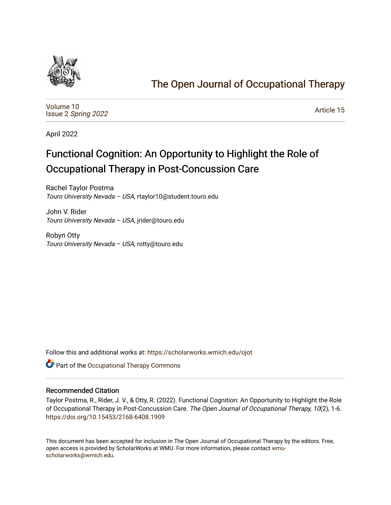

## [The Open Journal of Occupational Therapy](https://scholarworks.wmich.edu/ojot)

[Volume 10](https://scholarworks.wmich.edu/ojot/vol10) Issue 2 [Spring 2022](https://scholarworks.wmich.edu/ojot/vol10/iss2) 

[Article 15](https://scholarworks.wmich.edu/ojot/vol10/iss2/15) 

April 2022

# Functional Cognition: An Opportunity to Highlight the Role of Occupational Therapy in Post-Concussion Care

Rachel Taylor Postma Touro University Nevada – USA, rtaylor10@student.touro.edu

John V. Rider Touro University Nevada – USA, jrider@touro.edu

Robyn Otty Touro University Nevada – USA, rotty@touro.edu

Follow this and additional works at: [https://scholarworks.wmich.edu/ojot](https://scholarworks.wmich.edu/ojot?utm_source=scholarworks.wmich.edu%2Fojot%2Fvol10%2Fiss2%2F15&utm_medium=PDF&utm_campaign=PDFCoverPages)

Part of the [Occupational Therapy Commons](http://network.bepress.com/hgg/discipline/752?utm_source=scholarworks.wmich.edu%2Fojot%2Fvol10%2Fiss2%2F15&utm_medium=PDF&utm_campaign=PDFCoverPages) 

## Recommended Citation

Taylor Postma, R., Rider, J. V., & Otty, R. (2022). Functional Cognition: An Opportunity to Highlight the Role of Occupational Therapy in Post-Concussion Care. The Open Journal of Occupational Therapy, 10(2), 1-6. <https://doi.org/10.15453/2168-6408.1909>

This document has been accepted for inclusion in The Open Journal of Occupational Therapy by the editors. Free, open access is provided by ScholarWorks at WMU. For more information, please contact [wmu](mailto:wmu-scholarworks@wmich.edu)[scholarworks@wmich.edu.](mailto:wmu-scholarworks@wmich.edu)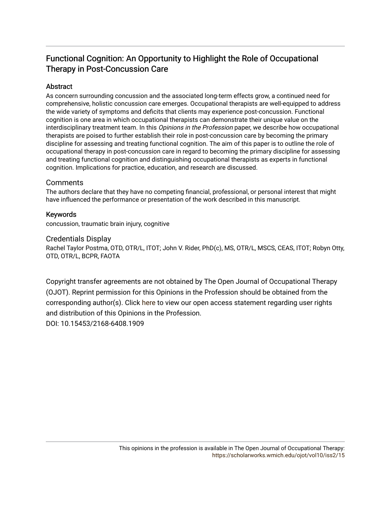## Functional Cognition: An Opportunity to Highlight the Role of Occupational Therapy in Post-Concussion Care

## **Abstract**

As concern surrounding concussion and the associated long-term effects grow, a continued need for comprehensive, holistic concussion care emerges. Occupational therapists are well-equipped to address the wide variety of symptoms and deficits that clients may experience post-concussion. Functional cognition is one area in which occupational therapists can demonstrate their unique value on the interdisciplinary treatment team. In this Opinions in the Profession paper, we describe how occupational therapists are poised to further establish their role in post-concussion care by becoming the primary discipline for assessing and treating functional cognition. The aim of this paper is to outline the role of occupational therapy in post-concussion care in regard to becoming the primary discipline for assessing and treating functional cognition and distinguishing occupational therapists as experts in functional cognition. Implications for practice, education, and research are discussed.

## **Comments**

The authors declare that they have no competing financial, professional, or personal interest that might have influenced the performance or presentation of the work described in this manuscript.

## Keywords

concussion, traumatic brain injury, cognitive

## Credentials Display

Rachel Taylor Postma, OTD, OTR/L, ITOT; John V. Rider, PhD(c), MS, OTR/L, MSCS, CEAS, ITOT; Robyn Otty, OTD, OTR/L, BCPR, FAOTA

Copyright transfer agreements are not obtained by The Open Journal of Occupational Therapy (OJOT). Reprint permission for this Opinions in the Profession should be obtained from the corresponding author(s). Click [here](https://scholarworks.wmich.edu/ojot/policies.html#rights) to view our open access statement regarding user rights and distribution of this Opinions in the Profession. DOI: 10.15453/2168-6408.1909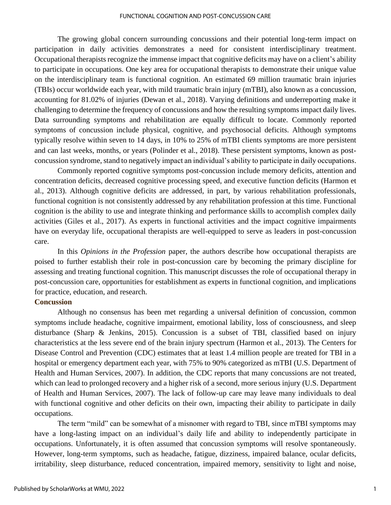#### FUNCTIONAL COGNITION AND POST-CONCUSSION CARE

The growing global concern surrounding concussions and their potential long-term impact on participation in daily activities demonstrates a need for consistent interdisciplinary treatment. Occupational therapists recognize the immense impact that cognitive deficits may have on a client's ability to participate in occupations. One key area for occupational therapists to demonstrate their unique value on the interdisciplinary team is functional cognition. An estimated 69 million traumatic brain injuries (TBIs) occur worldwide each year, with mild traumatic brain injury (mTBI), also known as a concussion, accounting for 81.02% of injuries (Dewan et al., 2018). Varying definitions and underreporting make it challenging to determine the frequency of concussions and how the resulting symptoms impact daily lives. Data surrounding symptoms and rehabilitation are equally difficult to locate. Commonly reported symptoms of concussion include physical, cognitive, and psychosocial deficits. Although symptoms typically resolve within seven to 14 days, in 10% to 25% of mTBI clients symptoms are more persistent and can last weeks, months, or years (Polinder et al., 2018). These persistent symptoms, known as postconcussion syndrome, stand to negatively impact an individual's ability to participate in daily occupations.

 Commonly reported cognitive symptoms post-concussion include memory deficits, attention and concentration deficits, decreased cognitive processing speed, and executive function deficits (Harmon et al., 2013). Although cognitive deficits are addressed, in part, by various rehabilitation professionals, functional cognition is not consistently addressed by any rehabilitation profession at this time. Functional cognition is the ability to use and integrate thinking and performance skills to accomplish complex daily activities (Giles et al., 2017). As experts in functional activities and the impact cognitive impairments have on everyday life, occupational therapists are well-equipped to serve as leaders in post-concussion care.

In this *Opinions in the Profession* paper, the authors describe how occupational therapists are poised to further establish their role in post-concussion care by becoming the primary discipline for assessing and treating functional cognition. This manuscript discusses the role of occupational therapy in post-concussion care, opportunities for establishment as experts in functional cognition, and implications for practice, education, and research.

## **Concussion**

Although no consensus has been met regarding a universal definition of concussion, common symptoms include headache, cognitive impairment, emotional lability, loss of consciousness, and sleep disturbance (Sharp & Jenkins, 2015). Concussion is a subset of TBI, classified based on injury characteristics at the less severe end of the brain injury spectrum (Harmon et al., 2013). The Centers for Disease Control and Prevention (CDC) estimates that at least 1.4 million people are treated for TBI in a hospital or emergency department each year, with 75% to 90% categorized as mTBI (U.S. Department of Health and Human Services, 2007). In addition, the CDC reports that many concussions are not treated, which can lead to prolonged recovery and a higher risk of a second, more serious injury (U.S. Department of Health and Human Services, 2007). The lack of follow-up care may leave many individuals to deal with functional cognitive and other deficits on their own, impacting their ability to participate in daily occupations.

The term "mild" can be somewhat of a misnomer with regard to TBI, since mTBI symptoms may have a long-lasting impact on an individual's daily life and ability to independently participate in occupations. Unfortunately, it is often assumed that concussion symptoms will resolve spontaneously. However, long-term symptoms, such as headache, fatigue, dizziness, impaired balance, ocular deficits, irritability, sleep disturbance, reduced concentration, impaired memory, sensitivity to light and noise,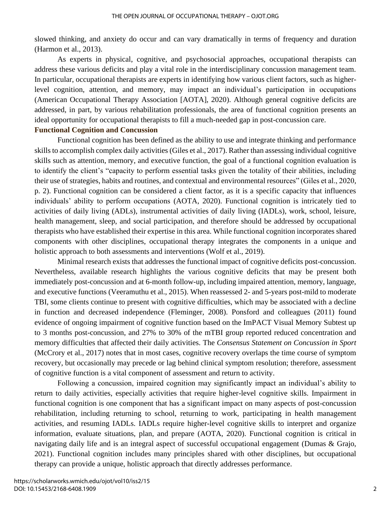slowed thinking, and anxiety do occur and can vary dramatically in terms of frequency and duration (Harmon et al., 2013).

As experts in physical, cognitive, and psychosocial approaches, occupational therapists can address these various deficits and play a vital role in the interdisciplinary concussion management team. In particular, occupational therapists are experts in identifying how various client factors, such as higherlevel cognition, attention, and memory, may impact an individual's participation in occupations (American Occupational Therapy Association [AOTA], 2020). Although general cognitive deficits are addressed, in part, by various rehabilitation professionals, the area of functional cognition presents an ideal opportunity for occupational therapists to fill a much-needed gap in post-concussion care.

## **Functional Cognition and Concussion**

Functional cognition has been defined as the ability to use and integrate thinking and performance skills to accomplish complex daily activities (Giles et al., 2017). Rather than assessing individual cognitive skills such as attention, memory, and executive function, the goal of a functional cognition evaluation is to identify the client's "capacity to perform essential tasks given the totality of their abilities, including their use of strategies, habits and routines, and contextual and environmental resources" (Giles et al., 2020, p. 2). Functional cognition can be considered a client factor, as it is a specific capacity that influences individuals' ability to perform occupations (AOTA, 2020). Functional cognition is intricately tied to activities of daily living (ADLs), instrumental activities of daily living (IADLs), work, school, leisure, health management, sleep, and social participation, and therefore should be addressed by occupational therapists who have established their expertise in this area. While functional cognition incorporates shared components with other disciplines, occupational therapy integrates the components in a unique and holistic approach to both assessments and interventions (Wolf et al., 2019).

Minimal research exists that addresses the functional impact of cognitive deficits post-concussion. Nevertheless, available research highlights the various cognitive deficits that may be present both immediately post-concussion and at 6-month follow-up, including impaired attention, memory, language, and executive functions (Veeramuthu et al., 2015). When reassessed 2- and 5-years post-mild to moderate TBI, some clients continue to present with cognitive difficulties, which may be associated with a decline in function and decreased independence (Fleminger, 2008). Ponsford and colleagues (2011) found evidence of ongoing impairment of cognitive function based on the ImPACT Visual Memory Subtest up to 3 months post-concussion, and 27% to 30% of the mTBI group reported reduced concentration and memory difficulties that affected their daily activities. The *Consensus Statement on Concussion in Sport* (McCrory et al., 2017) notes that in most cases, cognitive recovery overlaps the time course of symptom recovery, but occasionally may precede or lag behind clinical symptom resolution; therefore, assessment of cognitive function is a vital component of assessment and return to activity.

Following a concussion, impaired cognition may significantly impact an individual's ability to return to daily activities, especially activities that require higher-level cognitive skills. Impairment in functional cognition is one component that has a significant impact on many aspects of post-concussion rehabilitation, including returning to school, returning to work, participating in health management activities, and resuming IADLs. IADLs require higher-level cognitive skills to interpret and organize information, evaluate situations, plan, and prepare (AOTA, 2020). Functional cognition is critical in navigating daily life and is an integral aspect of successful occupational engagement (Dumas & Grajo, 2021). Functional cognition includes many principles shared with other disciplines, but occupational therapy can provide a unique, holistic approach that directly addresses performance.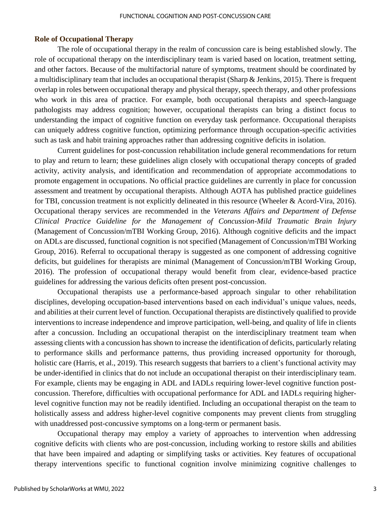## **Role of Occupational Therapy**

The role of occupational therapy in the realm of concussion care is being established slowly. The role of occupational therapy on the interdisciplinary team is varied based on location, treatment setting, and other factors. Because of the multifactorial nature of symptoms, treatment should be coordinated by a multidisciplinary team that includes an occupational therapist (Sharp & Jenkins, 2015). There is frequent overlap in roles between occupational therapy and physical therapy, speech therapy, and other professions who work in this area of practice. For example, both occupational therapists and speech-language pathologists may address cognition; however, occupational therapists can bring a distinct focus to understanding the impact of cognitive function on everyday task performance. Occupational therapists can uniquely address cognitive function, optimizing performance through occupation-specific activities such as task and habit training approaches rather than addressing cognitive deficits in isolation.

Current guidelines for post-concussion rehabilitation include general recommendations for return to play and return to learn; these guidelines align closely with occupational therapy concepts of graded activity, activity analysis, and identification and recommendation of appropriate accommodations to promote engagement in occupations. No official practice guidelines are currently in place for concussion assessment and treatment by occupational therapists. Although AOTA has published practice guidelines for TBI, concussion treatment is not explicitly delineated in this resource (Wheeler & Acord-Vira, 2016). Occupational therapy services are recommended in the *Veterans Affairs and Department of Defense Clinical Practice Guideline for the Management of Concussion-Mild Traumatic Brain Injury* (Management of Concussion/mTBI Working Group, 2016). Although cognitive deficits and the impact on ADLs are discussed, functional cognition is not specified (Management of Concussion/mTBI Working Group, 2016). Referral to occupational therapy is suggested as one component of addressing cognitive deficits, but guidelines for therapists are minimal (Management of Concussion/mTBI Working Group, 2016). The profession of occupational therapy would benefit from clear, evidence-based practice guidelines for addressing the various deficits often present post-concussion.

Occupational therapists use a performance-based approach singular to other rehabilitation disciplines, developing occupation-based interventions based on each individual's unique values, needs, and abilities at their current level of function. Occupational therapists are distinctively qualified to provide interventions to increase independence and improve participation, well-being, and quality of life in clients after a concussion. Including an occupational therapist on the interdisciplinary treatment team when assessing clients with a concussion has shown to increase the identification of deficits, particularly relating to performance skills and performance patterns, thus providing increased opportunity for thorough, holistic care (Harris, et al., 2019). This research suggests that barriers to a client's functional activity may be under-identified in clinics that do not include an occupational therapist on their interdisciplinary team. For example, clients may be engaging in ADL and IADLs requiring lower-level cognitive function postconcussion. Therefore, difficulties with occupational performance for ADL and IADLs requiring higherlevel cognitive function may not be readily identified. Including an occupational therapist on the team to holistically assess and address higher-level cognitive components may prevent clients from struggling with unaddressed post-concussive symptoms on a long-term or permanent basis.

Occupational therapy may employ a variety of approaches to intervention when addressing cognitive deficits with clients who are post-concussion, including working to restore skills and abilities that have been impaired and adapting or simplifying tasks or activities. Key features of occupational therapy interventions specific to functional cognition involve minimizing cognitive challenges to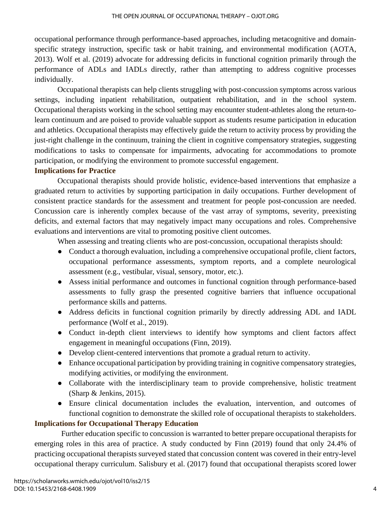occupational performance through performance-based approaches, including metacognitive and domainspecific strategy instruction, specific task or habit training, and environmental modification (AOTA, 2013). Wolf et al. (2019) advocate for addressing deficits in functional cognition primarily through the performance of ADLs and IADLs directly, rather than attempting to address cognitive processes individually.

Occupational therapists can help clients struggling with post-concussion symptoms across various settings, including inpatient rehabilitation, outpatient rehabilitation, and in the school system. Occupational therapists working in the school setting may encounter student-athletes along the return-tolearn continuum and are poised to provide valuable support as students resume participation in education and athletics. Occupational therapists may effectively guide the return to activity process by providing the just-right challenge in the continuum, training the client in cognitive compensatory strategies, suggesting modifications to tasks to compensate for impairments, advocating for accommodations to promote participation, or modifying the environment to promote successful engagement.

## **Implications for Practice**

Occupational therapists should provide holistic, evidence-based interventions that emphasize a graduated return to activities by supporting participation in daily occupations. Further development of consistent practice standards for the assessment and treatment for people post-concussion are needed. Concussion care is inherently complex because of the vast array of symptoms, severity, preexisting deficits, and external factors that may negatively impact many occupations and roles. Comprehensive evaluations and interventions are vital to promoting positive client outcomes.

When assessing and treating clients who are post-concussion, occupational therapists should:

- Conduct a thorough evaluation, including a comprehensive occupational profile, client factors, occupational performance assessments, symptom reports, and a complete neurological assessment (e.g., vestibular, visual, sensory, motor, etc.).
- Assess initial performance and outcomes in functional cognition through performance-based assessments to fully grasp the presented cognitive barriers that influence occupational performance skills and patterns.
- Address deficits in functional cognition primarily by directly addressing ADL and IADL performance (Wolf et al., 2019).
- Conduct in-depth client interviews to identify how symptoms and client factors affect engagement in meaningful occupations (Finn, 2019).
- Develop client-centered interventions that promote a gradual return to activity.
- Enhance occupational participation by providing training in cognitive compensatory strategies, modifying activities, or modifying the environment.
- Collaborate with the interdisciplinary team to provide comprehensive, holistic treatment (Sharp & Jenkins, 2015).
- Ensure clinical documentation includes the evaluation, intervention, and outcomes of functional cognition to demonstrate the skilled role of occupational therapists to stakeholders.

## **Implications for Occupational Therapy Education**

 Further education specific to concussion is warranted to better prepare occupational therapists for emerging roles in this area of practice. A study conducted by Finn (2019) found that only 24.4% of practicing occupational therapists surveyed stated that concussion content was covered in their entry-level occupational therapy curriculum. Salisbury et al. (2017) found that occupational therapists scored lower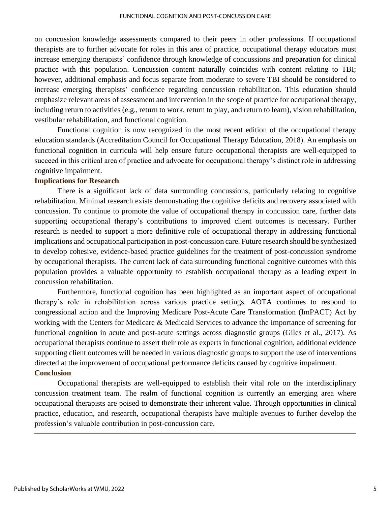on concussion knowledge assessments compared to their peers in other professions. If occupational therapists are to further advocate for roles in this area of practice, occupational therapy educators must increase emerging therapists' confidence through knowledge of concussions and preparation for clinical practice with this population. Concussion content naturally coincides with content relating to TBI; however, additional emphasis and focus separate from moderate to severe TBI should be considered to increase emerging therapists' confidence regarding concussion rehabilitation. This education should emphasize relevant areas of assessment and intervention in the scope of practice for occupational therapy, including return to activities (e.g., return to work, return to play, and return to learn), vision rehabilitation, vestibular rehabilitation, and functional cognition.

Functional cognition is now recognized in the most recent edition of the occupational therapy education standards (Accreditation Council for Occupational Therapy Education, 2018). An emphasis on functional cognition in curricula will help ensure future occupational therapists are well-equipped to succeed in this critical area of practice and advocate for occupational therapy's distinct role in addressing cognitive impairment.

## **Implications for Research**

There is a significant lack of data surrounding concussions, particularly relating to cognitive rehabilitation. Minimal research exists demonstrating the cognitive deficits and recovery associated with concussion. To continue to promote the value of occupational therapy in concussion care, further data supporting occupational therapy's contributions to improved client outcomes is necessary. Further research is needed to support a more definitive role of occupational therapy in addressing functional implications and occupational participation in post-concussion care. Future research should be synthesized to develop cohesive, evidence-based practice guidelines for the treatment of post-concussion syndrome by occupational therapists. The current lack of data surrounding functional cognitive outcomes with this population provides a valuable opportunity to establish occupational therapy as a leading expert in concussion rehabilitation.

Furthermore, functional cognition has been highlighted as an important aspect of occupational therapy's role in rehabilitation across various practice settings. AOTA continues to respond to congressional action and the Improving Medicare Post-Acute Care Transformation (ImPACT) Act by working with the Centers for Medicare & Medicaid Services to advance the importance of screening for functional cognition in acute and post-acute settings across diagnostic groups (Giles et al., 2017). As occupational therapists continue to assert their role as experts in functional cognition, additional evidence supporting client outcomes will be needed in various diagnostic groups to support the use of interventions directed at the improvement of occupational performance deficits caused by cognitive impairment. **Conclusion**

Occupational therapists are well-equipped to establish their vital role on the interdisciplinary concussion treatment team. The realm of functional cognition is currently an emerging area where occupational therapists are poised to demonstrate their inherent value. Through opportunities in clinical practice, education, and research, occupational therapists have multiple avenues to further develop the profession's valuable contribution in post-concussion care.